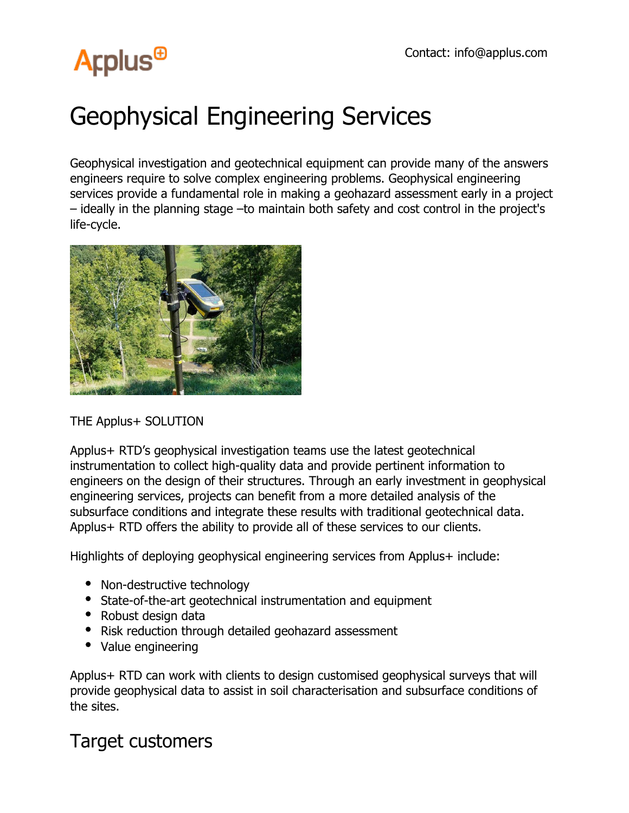## **Arplus<sup>®</sup>**

### Geophysical Engineering Services

Geophysical investigation and geotechnical equipment can provide many of the answers engineers require to solve complex engineering problems. Geophysical engineering services provide a fundamental role in making a geohazard assessment early in a project – ideally in the planning stage –to maintain both safety and cost control in the project's life-cycle.



#### THE Applus+ SOLUTION

Applus+ RTD's geophysical investigation teams use the latest geotechnical instrumentation to collect high-quality data and provide pertinent information to engineers on the design of their structures. Through an early investment in geophysical engineering services, projects can benefit from a more detailed analysis of the subsurface conditions and integrate these results with traditional geotechnical data. Applus+ RTD offers the ability to provide all of these services to our clients.

Highlights of deploying geophysical engineering services from Applus+ include:

- Non-destructive technology
- State-of-the-art geotechnical instrumentation and equipment
- Robust design data
- Risk reduction through detailed geohazard assessment
- Value engineering

Applus+ RTD can work with clients to design customised geophysical surveys that will provide geophysical data to assist in soil characterisation and subsurface conditions of the sites.

#### Target customers